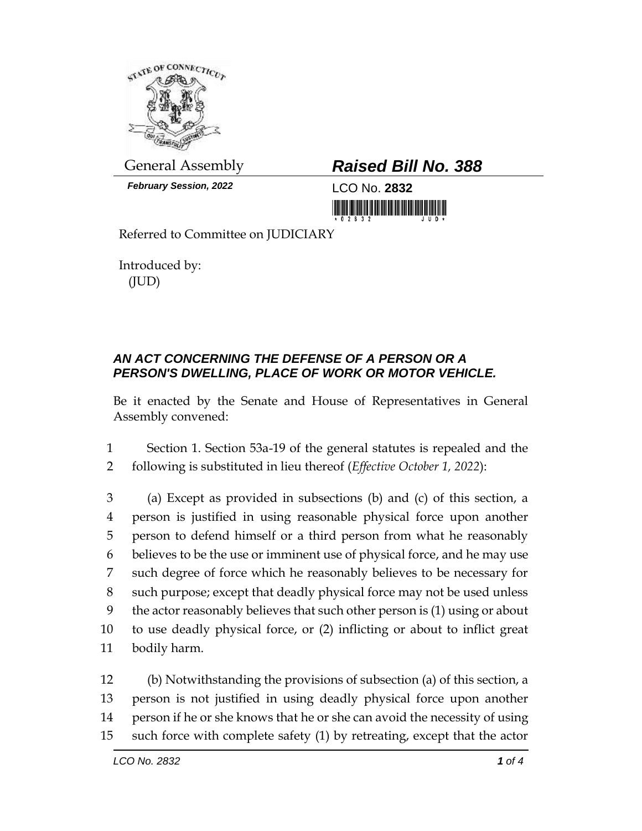

*February Session, 2022* LCO No. **2832**

## General Assembly *Raised Bill No. 388*

<u> III jihayi yaya ka masa mashi ka </u>

Referred to Committee on JUDICIARY

Introduced by: (JUD)

## *AN ACT CONCERNING THE DEFENSE OF A PERSON OR A PERSON'S DWELLING, PLACE OF WORK OR MOTOR VEHICLE.*

Be it enacted by the Senate and House of Representatives in General Assembly convened:

1 Section 1. Section 53a-19 of the general statutes is repealed and the 2 following is substituted in lieu thereof (*Effective October 1, 2022*):

 (a) Except as provided in subsections (b) and (c) of this section, a person is justified in using reasonable physical force upon another person to defend himself or a third person from what he reasonably believes to be the use or imminent use of physical force, and he may use such degree of force which he reasonably believes to be necessary for such purpose; except that deadly physical force may not be used unless the actor reasonably believes that such other person is (1) using or about to use deadly physical force, or (2) inflicting or about to inflict great bodily harm.

 (b) Notwithstanding the provisions of subsection (a) of this section, a person is not justified in using deadly physical force upon another person if he or she knows that he or she can avoid the necessity of using such force with complete safety (1) by retreating, except that the actor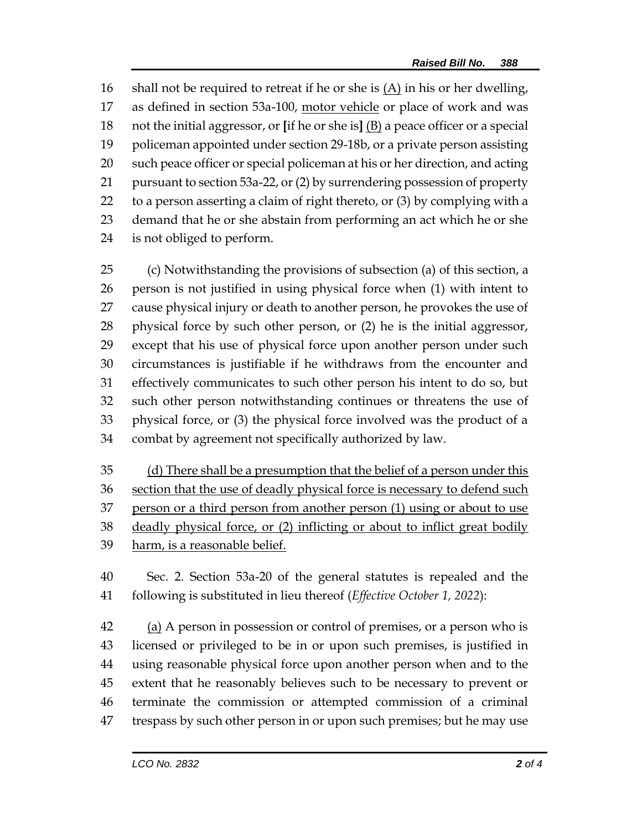shall not be required to retreat if he or she is (A) in his or her dwelling, as defined in section 53a-100, motor vehicle or place of work and was not the initial aggressor, or **[**if he or she is**]** (B) a peace officer or a special policeman appointed under section 29-18b, or a private person assisting such peace officer or special policeman at his or her direction, and acting pursuant to section 53a-22, or (2) by surrendering possession of property to a person asserting a claim of right thereto, or (3) by complying with a demand that he or she abstain from performing an act which he or she is not obliged to perform.

 (c) Notwithstanding the provisions of subsection (a) of this section, a person is not justified in using physical force when (1) with intent to cause physical injury or death to another person, he provokes the use of physical force by such other person, or (2) he is the initial aggressor, except that his use of physical force upon another person under such circumstances is justifiable if he withdraws from the encounter and effectively communicates to such other person his intent to do so, but such other person notwithstanding continues or threatens the use of physical force, or (3) the physical force involved was the product of a combat by agreement not specifically authorized by law.

35 (d) There shall be a presumption that the belief of a person under this 36 section that the use of deadly physical force is necessary to defend such person or a third person from another person (1) using or about to use deadly physical force, or (2) inflicting or about to inflict great bodily harm, is a reasonable belief.

 Sec. 2. Section 53a-20 of the general statutes is repealed and the following is substituted in lieu thereof (*Effective October 1, 2022*):

42 (a) A person in possession or control of premises, or a person who is licensed or privileged to be in or upon such premises, is justified in using reasonable physical force upon another person when and to the extent that he reasonably believes such to be necessary to prevent or terminate the commission or attempted commission of a criminal trespass by such other person in or upon such premises; but he may use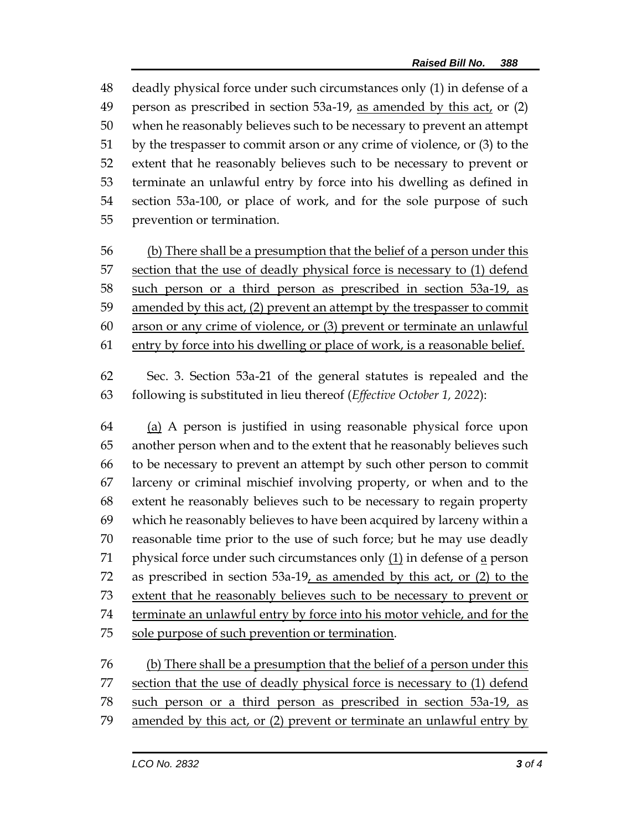deadly physical force under such circumstances only (1) in defense of a person as prescribed in section 53a-19, as amended by this act, or (2) when he reasonably believes such to be necessary to prevent an attempt by the trespasser to commit arson or any crime of violence, or (3) to the extent that he reasonably believes such to be necessary to prevent or terminate an unlawful entry by force into his dwelling as defined in section 53a-100, or place of work, and for the sole purpose of such prevention or termination.

 (b) There shall be a presumption that the belief of a person under this 57 section that the use of deadly physical force is necessary to (1) defend such person or a third person as prescribed in section 53a-19, as amended by this act, (2) prevent an attempt by the trespasser to commit arson or any crime of violence, or (3) prevent or terminate an unlawful 61 entry by force into his dwelling or place of work, is a reasonable belief.

 Sec. 3. Section 53a-21 of the general statutes is repealed and the following is substituted in lieu thereof (*Effective October 1, 2022*):

 (a) A person is justified in using reasonable physical force upon another person when and to the extent that he reasonably believes such to be necessary to prevent an attempt by such other person to commit larceny or criminal mischief involving property, or when and to the extent he reasonably believes such to be necessary to regain property which he reasonably believes to have been acquired by larceny within a reasonable time prior to the use of such force; but he may use deadly 71 physical force under such circumstances only  $(1)$  in defense of a person as prescribed in section 53a-19, as amended by this act, or (2) to the extent that he reasonably believes such to be necessary to prevent or terminate an unlawful entry by force into his motor vehicle, and for the 75 sole purpose of such prevention or termination.

 (b) There shall be a presumption that the belief of a person under this 77 section that the use of deadly physical force is necessary to (1) defend such person or a third person as prescribed in section 53a-19, as amended by this act, or (2) prevent or terminate an unlawful entry by